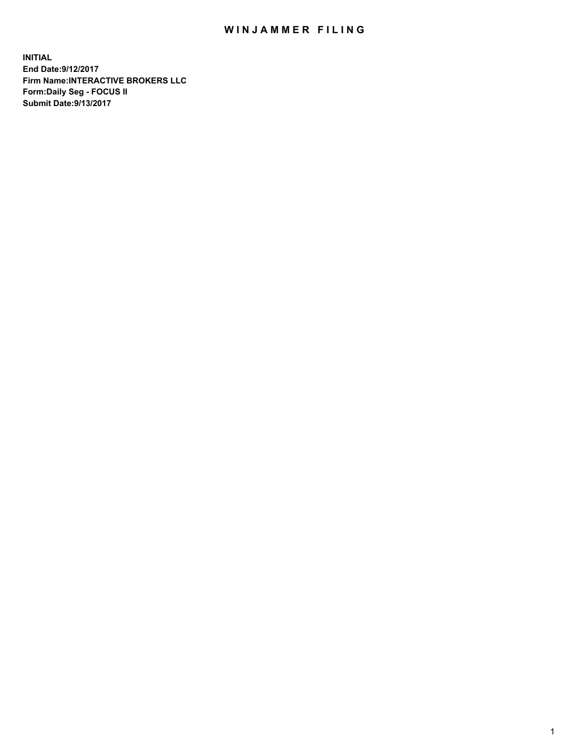## WIN JAMMER FILING

**INITIAL End Date:9/12/2017 Firm Name:INTERACTIVE BROKERS LLC Form:Daily Seg - FOCUS II Submit Date:9/13/2017**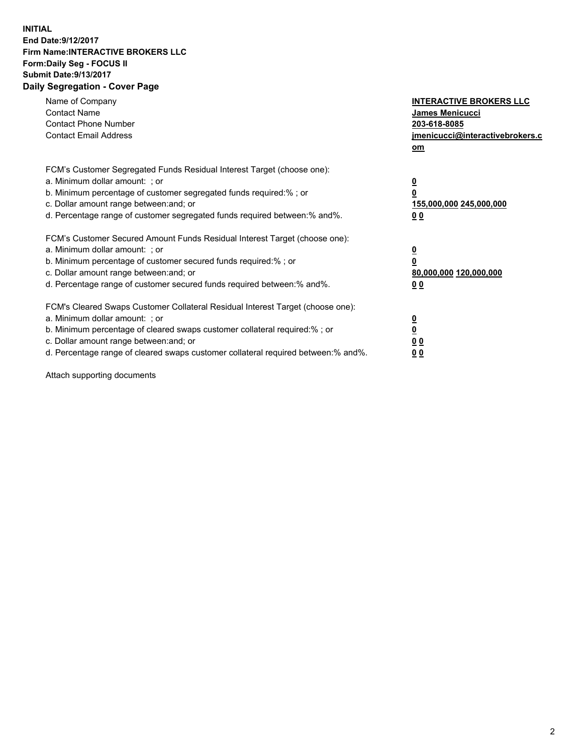## **INITIAL End Date:9/12/2017 Firm Name:INTERACTIVE BROKERS LLC Form:Daily Seg - FOCUS II Submit Date:9/13/2017 Daily Segregation - Cover Page**

| Name of Company<br><b>Contact Name</b><br><b>Contact Phone Number</b><br><b>Contact Email Address</b>                                                                                                                                                                                                                          | <b>INTERACTIVE BROKERS LLC</b><br>James Menicucci<br>203-618-8085<br>jmenicucci@interactivebrokers.c<br>om |
|--------------------------------------------------------------------------------------------------------------------------------------------------------------------------------------------------------------------------------------------------------------------------------------------------------------------------------|------------------------------------------------------------------------------------------------------------|
| FCM's Customer Segregated Funds Residual Interest Target (choose one):<br>a. Minimum dollar amount: ; or<br>b. Minimum percentage of customer segregated funds required:% ; or<br>c. Dollar amount range between: and; or<br>d. Percentage range of customer segregated funds required between: % and %.                       | $\overline{\mathbf{0}}$<br>0<br>155,000,000 245,000,000<br>00                                              |
| FCM's Customer Secured Amount Funds Residual Interest Target (choose one):<br>a. Minimum dollar amount: ; or<br>b. Minimum percentage of customer secured funds required:%; or<br>c. Dollar amount range between: and; or<br>d. Percentage range of customer secured funds required between:% and%.                            | $\overline{\mathbf{0}}$<br>0<br>80,000,000 120,000,000<br>0 <sub>0</sub>                                   |
| FCM's Cleared Swaps Customer Collateral Residual Interest Target (choose one):<br>a. Minimum dollar amount: ; or<br>b. Minimum percentage of cleared swaps customer collateral required:% ; or<br>c. Dollar amount range between: and; or<br>d. Percentage range of cleared swaps customer collateral required between:% and%. | $\overline{\mathbf{0}}$<br>$\underline{\mathbf{0}}$<br>0 <sub>0</sub><br>0 <sub>0</sub>                    |

Attach supporting documents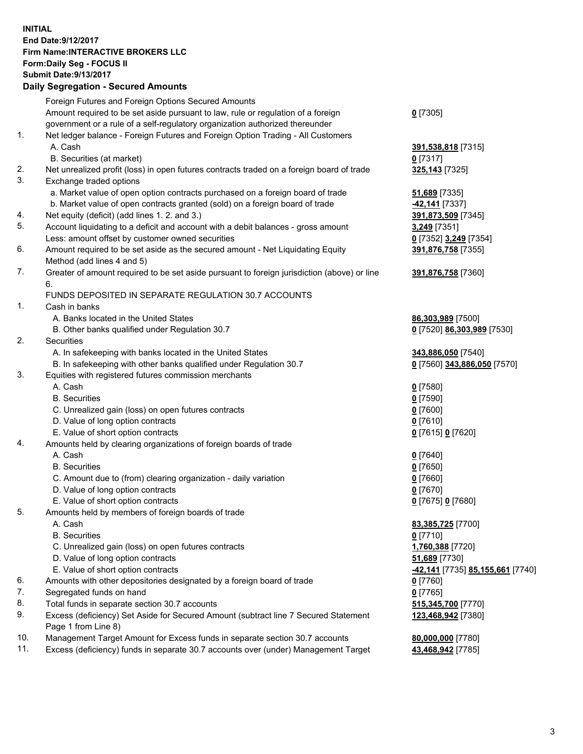## **INITIAL End Date:9/12/2017 Firm Name:INTERACTIVE BROKERS LLC Form:Daily Seg - FOCUS II Submit Date:9/13/2017 Daily Segregation - Secured Amounts**

|                | Daily Jegregation - Jeculed Aniounts                                                        |                                  |
|----------------|---------------------------------------------------------------------------------------------|----------------------------------|
|                | Foreign Futures and Foreign Options Secured Amounts                                         |                                  |
|                | Amount required to be set aside pursuant to law, rule or regulation of a foreign            | $0$ [7305]                       |
|                | government or a rule of a self-regulatory organization authorized thereunder                |                                  |
| 1.             | Net ledger balance - Foreign Futures and Foreign Option Trading - All Customers             |                                  |
|                | A. Cash                                                                                     | 391,538,818 [7315]               |
|                | B. Securities (at market)                                                                   | $0$ [7317]                       |
| 2.             | Net unrealized profit (loss) in open futures contracts traded on a foreign board of trade   | 325,143 [7325]                   |
| 3.             | Exchange traded options                                                                     |                                  |
|                | a. Market value of open option contracts purchased on a foreign board of trade              | <b>51,689</b> [7335]             |
|                | b. Market value of open contracts granted (sold) on a foreign board of trade                | <b>42,141</b> [7337]             |
| 4.             | Net equity (deficit) (add lines 1.2. and 3.)                                                | 391,873,509 [7345]               |
| 5.             | Account liquidating to a deficit and account with a debit balances - gross amount           | 3,249 [7351]                     |
|                | Less: amount offset by customer owned securities                                            | 0 [7352] 3,249 [7354]            |
| 6.             | Amount required to be set aside as the secured amount - Net Liquidating Equity              | 391,876,758 [7355]               |
|                | Method (add lines 4 and 5)                                                                  |                                  |
| 7.             | Greater of amount required to be set aside pursuant to foreign jurisdiction (above) or line | 391,876,758 [7360]               |
|                | 6.                                                                                          |                                  |
|                | FUNDS DEPOSITED IN SEPARATE REGULATION 30.7 ACCOUNTS                                        |                                  |
| $\mathbf{1}$ . | Cash in banks                                                                               |                                  |
|                | A. Banks located in the United States                                                       | 86,303,989 [7500]                |
|                | B. Other banks qualified under Regulation 30.7                                              | 0 [7520] 86,303,989 [7530]       |
| 2.             | Securities                                                                                  |                                  |
|                | A. In safekeeping with banks located in the United States                                   | 343,886,050 [7540]               |
|                | B. In safekeeping with other banks qualified under Regulation 30.7                          | 0 [7560] 343,886,050 [7570]      |
| 3.             | Equities with registered futures commission merchants                                       |                                  |
|                | A. Cash                                                                                     | $0$ [7580]                       |
|                | <b>B.</b> Securities                                                                        | $0$ [7590]                       |
|                | C. Unrealized gain (loss) on open futures contracts                                         | $0$ [7600]                       |
|                | D. Value of long option contracts                                                           | $0$ [7610]                       |
|                | E. Value of short option contracts                                                          | 0 [7615] 0 [7620]                |
| 4.             | Amounts held by clearing organizations of foreign boards of trade                           |                                  |
|                | A. Cash                                                                                     | $0$ [7640]                       |
|                | <b>B.</b> Securities                                                                        | $0$ [7650]                       |
|                | C. Amount due to (from) clearing organization - daily variation                             | $0$ [7660]                       |
|                | D. Value of long option contracts                                                           | $0$ [7670]                       |
|                | E. Value of short option contracts                                                          | 0 [7675] 0 [7680]                |
| 5.             | Amounts held by members of foreign boards of trade                                          |                                  |
|                | A. Cash                                                                                     | 83,385,725 [7700]                |
|                | <b>B.</b> Securities                                                                        | $0$ [7710]                       |
|                | C. Unrealized gain (loss) on open futures contracts                                         | 1,760,388 [7720]                 |
|                | D. Value of long option contracts                                                           | 51,689 [7730]                    |
|                | E. Value of short option contracts                                                          | -42,141 [7735] 85,155,661 [7740] |
| 6.             | Amounts with other depositories designated by a foreign board of trade                      | 0 [7760]                         |
| 7.             | Segregated funds on hand                                                                    | $0$ [7765]                       |
| 8.             | Total funds in separate section 30.7 accounts                                               | 515,345,700 [7770]               |
| 9.             | Excess (deficiency) Set Aside for Secured Amount (subtract line 7 Secured Statement         | 123,468,942 [7380]               |
|                | Page 1 from Line 8)                                                                         |                                  |
| 10.            | Management Target Amount for Excess funds in separate section 30.7 accounts                 | 80,000,000 [7780]                |
| 11.            | Excess (deficiency) funds in separate 30.7 accounts over (under) Management Target          | 43,468,942 [7785]                |
|                |                                                                                             |                                  |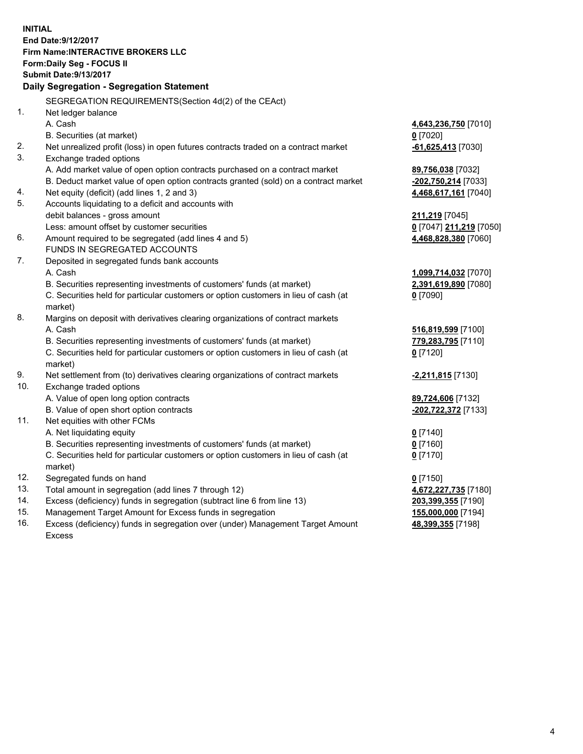**INITIAL End Date:9/12/2017 Firm Name:INTERACTIVE BROKERS LLC Form:Daily Seg - FOCUS II Submit Date:9/13/2017 Daily Segregation - Segregation Statement** SEGREGATION REQUIREMENTS(Section 4d(2) of the CEAct) 1. Net ledger balance A. Cash **4,643,236,750** [7010] B. Securities (at market) **0** [7020] 2. Net unrealized profit (loss) in open futures contracts traded on a contract market **-61,625,413** [7030] 3. Exchange traded options A. Add market value of open option contracts purchased on a contract market **89,756,038** [7032] B. Deduct market value of open option contracts granted (sold) on a contract market **-202,750,214** [7033] 4. Net equity (deficit) (add lines 1, 2 and 3) **4,468,617,161** [7040] 5. Accounts liquidating to a deficit and accounts with debit balances - gross amount **211,219** [7045] Less: amount offset by customer securities **0** [7047] **211,219** [7050] 6. Amount required to be segregated (add lines 4 and 5) **4,468,828,380** [7060] FUNDS IN SEGREGATED ACCOUNTS 7. Deposited in segregated funds bank accounts A. Cash **1,099,714,032** [7070] B. Securities representing investments of customers' funds (at market) **2,391,619,890** [7080] C. Securities held for particular customers or option customers in lieu of cash (at market) **0** [7090] 8. Margins on deposit with derivatives clearing organizations of contract markets A. Cash **516,819,599** [7100] B. Securities representing investments of customers' funds (at market) **779,283,795** [7110] C. Securities held for particular customers or option customers in lieu of cash (at market) **0** [7120] 9. Net settlement from (to) derivatives clearing organizations of contract markets **-2,211,815** [7130] 10. Exchange traded options A. Value of open long option contracts **89,724,606** [7132] B. Value of open short option contracts **-202,722,372** [7133] 11. Net equities with other FCMs A. Net liquidating equity **0** [7140] B. Securities representing investments of customers' funds (at market) **0** [7160] C. Securities held for particular customers or option customers in lieu of cash (at market) **0** [7170] 12. Segregated funds on hand **0** [7150] 13. Total amount in segregation (add lines 7 through 12) **4,672,227,735** [7180] 14. Excess (deficiency) funds in segregation (subtract line 6 from line 13) **203,399,355** [7190] 15. Management Target Amount for Excess funds in segregation **155,000,000** [7194] **48,399,355** [7198]

16. Excess (deficiency) funds in segregation over (under) Management Target Amount Excess